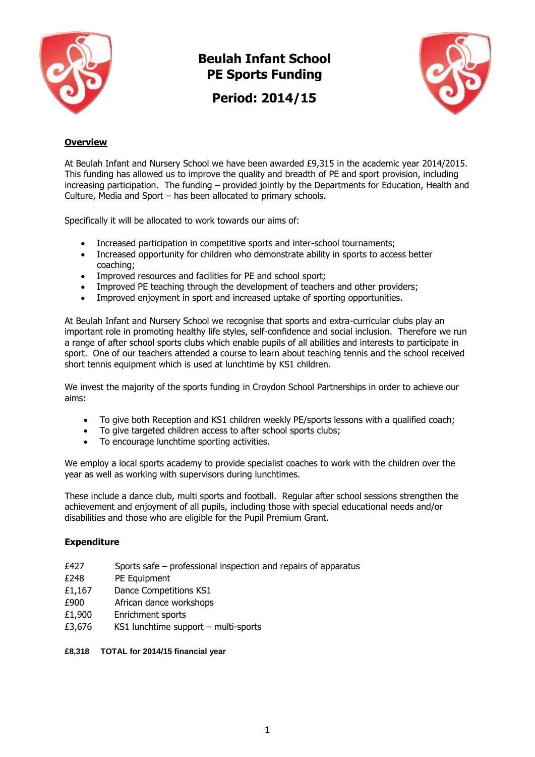

**Beulah Infant School PE Sports Funding**

**Period: 2014/15**



## **Overview**

At Beulah Infant and Nursery School we have been awarded £9,315 in the academic year 2014/2015. This funding has allowed us to improve the quality and breadth of PE and sport provision, including increasing participation. The funding – provided jointly by the Departments for Education, Health and Culture, Media and Sport – has been allocated to primary schools.

Specifically it will be allocated to work towards our aims of:

- Increased participation in competitive sports and inter-school tournaments;
- Increased opportunity for children who demonstrate ability in sports to access better coaching;
- Improved resources and facilities for PE and school sport;
- Improved PE teaching through the development of teachers and other providers;
- Improved enjoyment in sport and increased uptake of sporting opportunities.

At Beulah Infant and Nursery School we recognise that sports and extra-curricular clubs play an important role in promoting healthy life styles, self-confidence and social inclusion. Therefore we run a range of after school sports clubs which enable pupils of all abilities and interests to participate in sport. One of our teachers attended a course to learn about teaching tennis and the school received short tennis equipment which is used at lunchtime by KS1 children.

We invest the majority of the sports funding in Croydon School Partnerships in order to achieve our aims:

- To give both Reception and KS1 children weekly PE/sports lessons with a qualified coach;
- To give targeted children access to after school sports clubs;
- To encourage lunchtime sporting activities.

We employ a local sports academy to provide specialist coaches to work with the children over the year as well as working with supervisors during lunchtimes.

These include a dance club, multi sports and football. Regular after school sessions strengthen the achievement and enjoyment of all pupils, including those with special educational needs and/or disabilities and those who are eligible for the Pupil Premium Grant.

## **Expenditure**

- £427 Sports safe professional inspection and repairs of apparatus
- £248 PE Equipment
- £1,167 Dance Competitions KS1
- £900 African dance workshops
- £1,900 Enrichment sports
- £3,676 KS1 lunchtime support multi-sports

**£8,318 TOTAL for 2014/15 financial year**